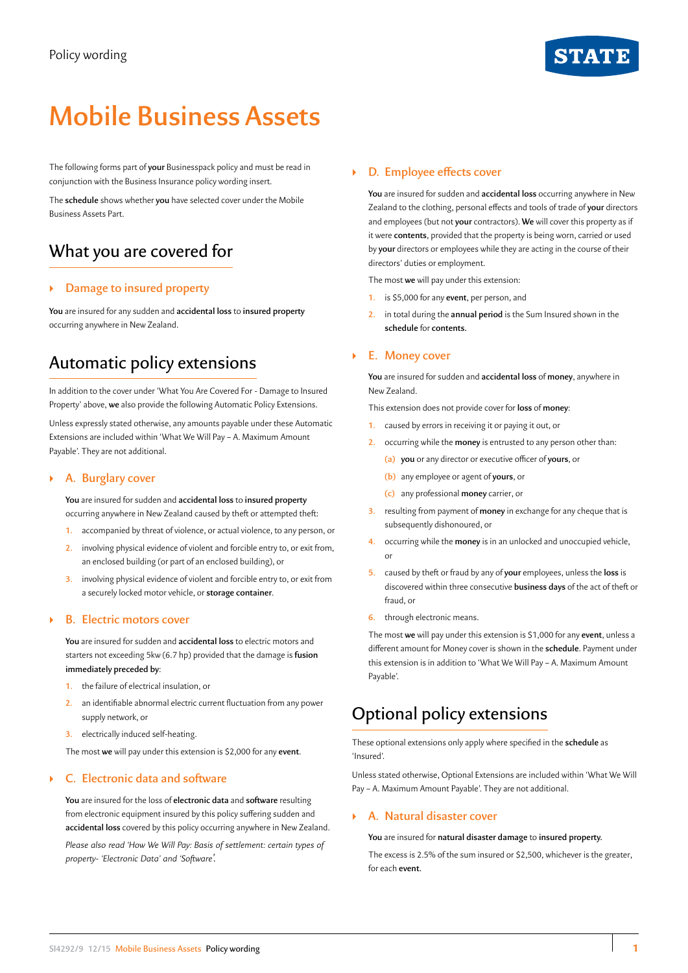

# **Mobile Business Assets**

The following forms part of **your** Businesspack policy and must be read in conjunction with the Business Insurance policy wording insert.

The **schedule** shows whether **you** have selected cover under the Mobile Business Assets Part.

# What you are covered for

# ` **Damage to insured property**

**You** are insured for any sudden and **accidental loss** to **insured property** occurring anywhere in New Zealand.

# Automatic policy extensions

In addition to the cover under 'What You Are Covered For - Damage to Insured Property' above, **we** also provide the following Automatic Policy Extensions.

Unless expressly stated otherwise, any amounts payable under these Automatic Extensions are included within 'What We Will Pay – A. Maximum Amount Payable'. They are not additional.

# ` **A. Burglary cover**

**You** are insured for sudden and **accidental loss** to **insured property**  occurring anywhere in New Zealand caused by theft or attempted theft:

- **1.** accompanied by threat of violence, or actual violence, to any person, or
- **2.** involving physical evidence of violent and forcible entry to, or exit from, an enclosed building (or part of an enclosed building), or
- **3.** involving physical evidence of violent and forcible entry to, or exit from a securely locked motor vehicle, or **storage container**.

# ` **B. Electric motors cover**

**You** are insured for sudden and **accidental loss** to electric motors and starters not exceeding 5kw (6.7 hp) provided that the damage is **fusion immediately preceded by**:

- **1.** the failure of electrical insulation, or
- **2.** an identifiable abnormal electric current fluctuation from any power supply network, or
- **3.** electrically induced self-heating.

The most **we** will pay under this extension is \$2,000 for any **event**.

# ` **C. Electronic data and software**

**You** are insured for the loss of **electronic data** and **software** resulting from electronic equipment insured by this policy suffering sudden and **accidental loss** covered by this policy occurring anywhere in New Zealand. *Please also read 'How We Will Pay: Basis of settlement: certain types of property- 'Electronic Data' and 'Software'.*

# ` **D. Employee effects cover**

**You** are insured for sudden and **accidental loss** occurring anywhere in New Zealand to the clothing, personal effects and tools of trade of **your** directors and employees (but not **your** contractors). **We** will cover this property as if it were **contents**, provided that the property is being worn, carried or used by **your** directors or employees while they are acting in the course of their directors' duties or employment.

The most **we** will pay under this extension:

- **1.** is \$5,000 for any **event**, per person, and
- **2.** in total during the **annual period** is the Sum Insured shown in the **schedule** for **contents.**

# ` **E. Money cover**

**You** are insured for sudden and **accidental loss** of **money**, anywhere in New Zealand.

This extension does not provide cover for **loss** of **money**:

- **1.** caused by errors in receiving it or paying it out, or
- **2.** occurring while the **money** is entrusted to any person other than:
	- **(a) you** or any director or executive officer of **yours**, or
	- **(b)** any employee or agent of **yours**, or
	- **(c)** any professional **money** carrier, or
- **3.** resulting from payment of **money** in exchange for any cheque that is subsequently dishonoured, or
- **4.** occurring while the **money** is in an unlocked and unoccupied vehicle, or
- **5.** caused by theft or fraud by any of **your** employees, unless the **loss** is discovered within three consecutive **business days** of the act of theft or fraud, or
- **6.** through electronic means.

The most **we** will pay under this extension is \$1,000 for any **event**, unless a different amount for Money cover is shown in the **schedule**. Payment under this extension is in addition to 'What We Will Pay – A. Maximum Amount Payable'.

# Optional policy extensions

These optional extensions only apply where specified in the **schedule** as 'Insured'.

Unless stated otherwise, Optional Extensions are included within 'What We Will Pay – A. Maximum Amount Payable'. They are not additional.

# ` **A. Natural disaster cover**

**You** are insured for **natural disaster damage** to **insured property.**

The excess is 2.5% of the sum insured or \$2,500, whichever is the greater, for each **event.**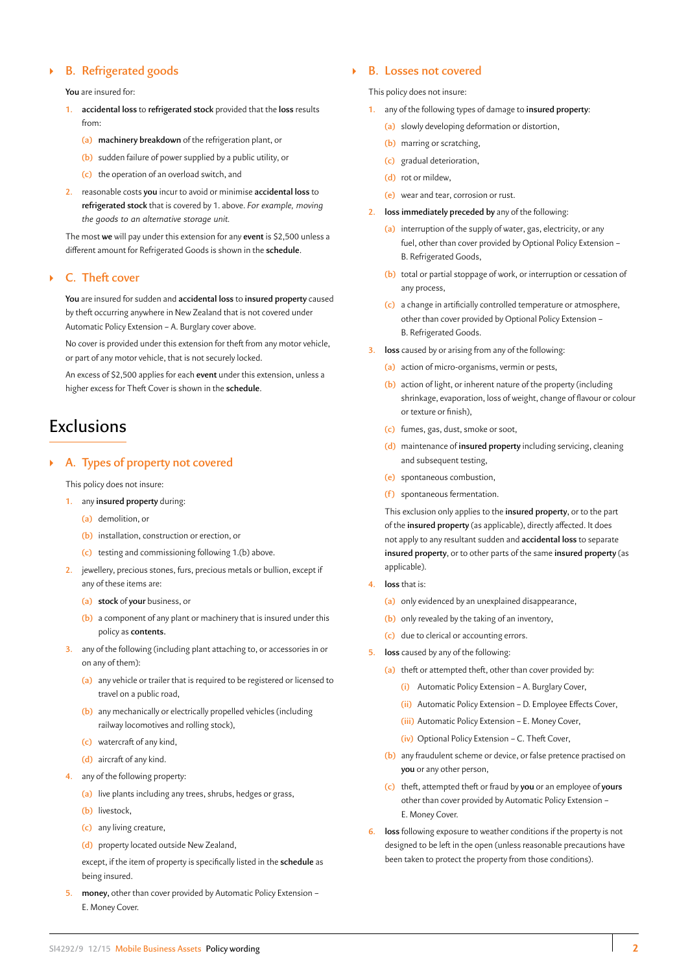# ` **B. Refrigerated goods**

**You** are insured for:

- **1. accidental loss** to **refrigerated stock** provided that the **loss** results from:
	- **(a) machinery breakdown** of the refrigeration plant, or
	- **(b)** sudden failure of power supplied by a public utility, or
	- **(c)** the operation of an overload switch, and
- **2.** reasonable costs **you** incur to avoid or minimise **accidental loss** to **refrigerated stock** that is covered by 1. above. *For example, moving the goods to an alternative storage unit.*

The most **we** will pay under this extension for any **event** is \$2,500 unless a different amount for Refrigerated Goods is shown in the **schedule**.

# ` **C. Theft cover**

**You** are insured for sudden and **accidental loss** to **insured property** caused by theft occurring anywhere in New Zealand that is not covered under Automatic Policy Extension – A. Burglary cover above.

No cover is provided under this extension for theft from any motor vehicle, or part of any motor vehicle, that is not securely locked.

An excess of \$2,500 applies for each **event** under this extension, unless a higher excess for Theft Cover is shown in the **schedule**.

# **Exclusions**

# ` **A. Types of property not covered**

- This policy does not insure:
- **1.** any **insured property** during:
	- **(a)** demolition, or
	- **(b)** installation, construction or erection, or
	- **(c)** testing and commissioning following 1.(b) above.
- **2.** jewellery, precious stones, furs, precious metals or bullion, except if any of these items are:
	- **(a) stock** of **your** business, or
	- **(b)** a component of any plant or machinery that is insured under this policy as **contents.**
- **3.** any of the following (including plant attaching to, or accessories in or on any of them):
	- **(a)** any vehicle or trailer that is required to be registered or licensed to travel on a public road,
	- **(b)** any mechanically or electrically propelled vehicles (including railway locomotives and rolling stock),
	- **(c)** watercraft of any kind,
	- **(d)** aircraft of any kind.
- **4.** any of the following property:
	- **(a)** live plants including any trees, shrubs, hedges or grass,
	- **(b)** livestock,
	- **(c)** any living creature,
	- **(d)** property located outside New Zealand,

except, if the item of property is specifically listed in the **schedule** as being insured.

**5. money,** other than cover provided by Automatic Policy Extension – E. Money Cover.

# ` **B. Losses not covered**

This policy does not insure:

- **1.** any of the following types of damage to **insured property**:
	- **(a)** slowly developing deformation or distortion,
	- **(b)** marring or scratching,
	- **(c)** gradual deterioration,
	- **(d)** rot or mildew,
	- **(e)** wear and tear, corrosion or rust.
- **2. loss immediately preceded by** any of the following:
	- **(a)** interruption of the supply of water, gas, electricity, or any fuel, other than cover provided by Optional Policy Extension – B. Refrigerated Goods,
	- **(b)** total or partial stoppage of work, or interruption or cessation of any process,
	- **(c)** a change in artificially controlled temperature or atmosphere, other than cover provided by Optional Policy Extension – B. Refrigerated Goods.
- **3. loss** caused by or arising from any of the following:
	- **(a)** action of micro-organisms, vermin or pests,
	- **(b)** action of light, or inherent nature of the property (including shrinkage, evaporation, loss of weight, change of flavour or colour or texture or finish),
	- **(c)** fumes, gas, dust, smoke or soot,
	- **(d)** maintenance of **insured property** including servicing, cleaning and subsequent testing,
	- **(e)** spontaneous combustion,
	- **(f )** spontaneous fermentation.

This exclusion only applies to the **insured property**, or to the part of the **insured property** (as applicable), directly affected. It does not apply to any resultant sudden and **accidental loss** to separate **insured property**, or to other parts of the same **insured property** (as applicable).

- **4. loss** that is:
	- **(a)** only evidenced by an unexplained disappearance,
	- **(b)** only revealed by the taking of an inventory,
	- **(c)** due to clerical or accounting errors.
- **5. loss** caused by any of the following:
	- **(a)** theft or attempted theft, other than cover provided by:
		- **(i)** Automatic Policy Extension A. Burglary Cover,
		- **(ii)** Automatic Policy Extension D. Employee Effects Cover,
		- **(iii)** Automatic Policy Extension E. Money Cover,
		- **(iv)** Optional Policy Extension C. Theft Cover,
	- **(b)** any fraudulent scheme or device, or false pretence practised on **you** or any other person,
	- **(c)** theft, attempted theft or fraud by **you** or an employee of **yours** other than cover provided by Automatic Policy Extension – E. Money Cover.
- **6. loss** following exposure to weather conditions if the property is not designed to be left in the open (unless reasonable precautions have been taken to protect the property from those conditions).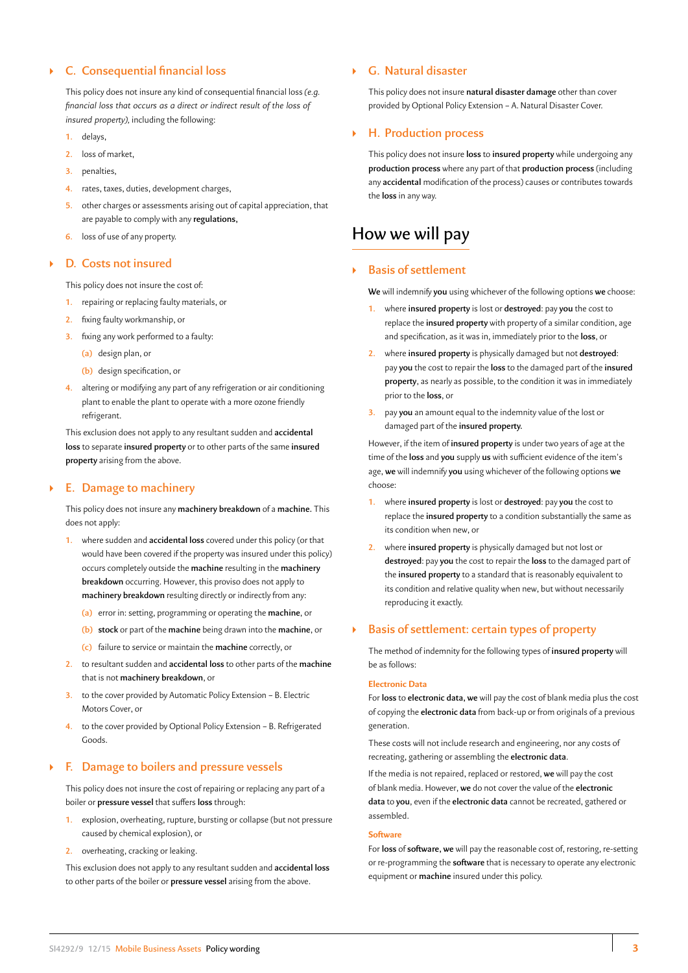# ` **C. Consequential financial loss**

This policy does not insure any kind of consequential financial loss *(e.g. financial loss that occurs as a direct or indirect result of the loss of insured property),* including the following:

- **1.** delays,
- **2.** loss of market,
- **3.** penalties,
- **4.** rates, taxes, duties, development charges,
- **5.** other charges or assessments arising out of capital appreciation, that are payable to comply with any **regulations,**
- **6.** loss of use of any property.

### ` **D. Costs not insured**

This policy does not insure the cost of:

- **1.** repairing or replacing faulty materials, or
- **2.** fixing faulty workmanship, or
- **3.** fixing any work performed to a faulty:
	- **(a)** design plan, or
	- **(b)** design specification, or
- **4.** altering or modifying any part of any refrigeration or air conditioning plant to enable the plant to operate with a more ozone friendly refrigerant.

This exclusion does not apply to any resultant sudden and **accidental loss** to separate **insured property** or to other parts of the same **insured property** arising from the above.

# ` **E. Damage to machinery**

This policy does not insure any **machinery breakdown** of a **machine.** This does not apply:

- **1.** where sudden and **accidental loss** covered under this policy (or that would have been covered if the property was insured under this policy) occurs completely outside the **machine** resulting in the **machinery breakdown** occurring. However, this proviso does not apply to **machinery breakdown** resulting directly or indirectly from any:
	- **(a)** error in: setting, programming or operating the **machine**, or
	- **(b) stock** or part of the **machine** being drawn into the **machine**, or
	- **(c)** failure to service or maintain the **machine** correctly, or
- **2.** to resultant sudden and **accidental loss** to other parts of the **machine**  that is not **machinery breakdown**, or
- **3.** to the cover provided by Automatic Policy Extension B. Electric Motors Cover, or
- **4.** to the cover provided by Optional Policy Extension B. Refrigerated Goods.

# ` **F. Damage to boilers and pressure vessels**

This policy does not insure the cost of repairing or replacing any part of a boiler or **pressure vessel** that suffers **loss** through:

- **1.** explosion, overheating, rupture, bursting or collapse (but not pressure caused by chemical explosion), or
- **2.** overheating, cracking or leaking.

This exclusion does not apply to any resultant sudden and **accidental loss** to other parts of the boiler or **pressure vessel** arising from the above.

# ` **G. Natural disaster**

This policy does not insure **natural disaster damage** other than cover provided by Optional Policy Extension – A. Natural Disaster Cover.

# ` **H. Production process**

This policy does not insure **loss** to **insured property** while undergoing any **production process** where any part of that **production process** (including any **accidental** modification of the process) causes or contributes towards the **loss** in any way.

# How we will pay

# ` **Basis of settlement**

**We** will indemnify **you** using whichever of the following options **we** choose:

- **1.** where **insured property** is lost or **destroyed**: pay **you** the cost to replace the **insured property** with property of a similar condition, age and specification, as it was in, immediately prior to the **loss**, or
- **2.** where **insured property** is physically damaged but not **destroyed**: pay **you** the cost to repair the **loss** to the damaged part of the **insured property**, as nearly as possible, to the condition it was in immediately prior to the **loss**, or
- **3.** pay **you** an amount equal to the indemnity value of the lost or damaged part of the **insured property.**

However, if the item of **insured property** is under two years of age at the time of the **loss** and **you** supply **us** with sufficient evidence of the item's age, **we** will indemnify **you** using whichever of the following options **we** choose:

- **1.** where **insured property** is lost or **destroyed**: pay **you** the cost to replace the **insured property** to a condition substantially the same as its condition when new, or
- **2.** where **insured property** is physically damaged but not lost or **destroyed**: pay **you** the cost to repair the **loss** to the damaged part of the **insured property** to a standard that is reasonably equivalent to its condition and relative quality when new, but without necessarily reproducing it exactly.

# ` **Basis of settlement: certain types of property**

The method of indemnity for the following types of **insured property** will be as follows:

### **Electronic Data**

For **loss** to **electronic data, we** will pay the cost of blank media plus the cost of copying the **electronic data** from back-up or from originals of a previous generation.

These costs will not include research and engineering, nor any costs of recreating, gathering or assembling the **electronic data**.

If the media is not repaired, replaced or restored, **we** will pay the cost of blank media. However, **we** do not cover the value of the **electronic data** to **you**, even if the **electronic data** cannot be recreated, gathered or assembled.

### **Software**

For **loss** of **software, we** will pay the reasonable cost of, restoring, re-setting or re-programming the **software** that is necessary to operate any electronic equipment or **machine** insured under this policy.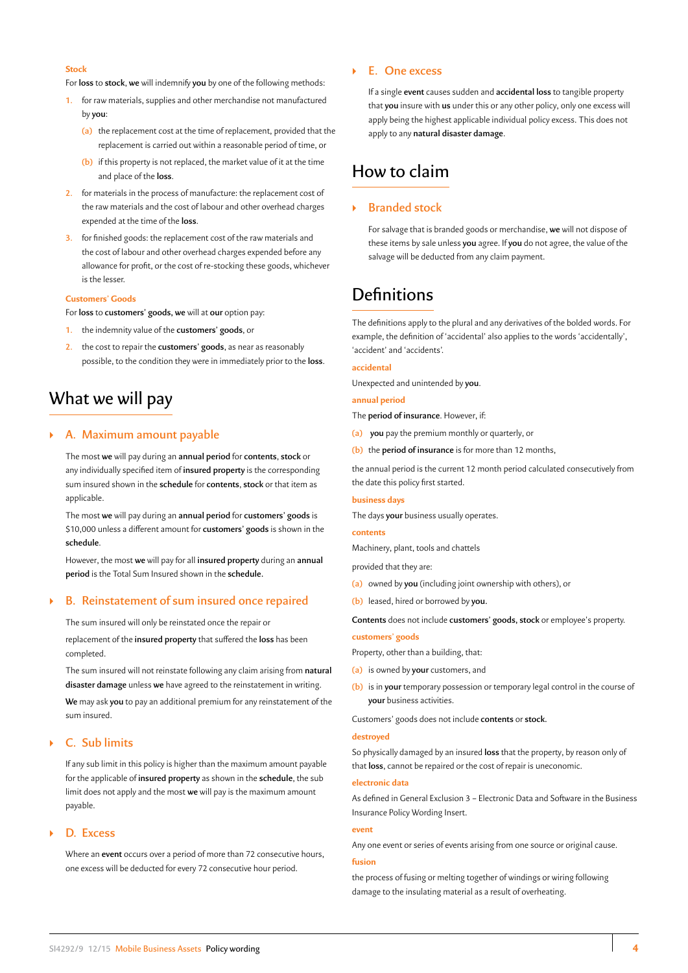# **Stock**

For **loss** to **stock**, **we** will indemnify **you** by one of the following methods:

- **1.** for raw materials, supplies and other merchandise not manufactured by **you**:
	- **(a)** the replacement cost at the time of replacement, provided that the replacement is carried out within a reasonable period of time, or
	- **(b)** if this property is not replaced, the market value of it at the time and place of the **loss**.
- **2.** for materials in the process of manufacture: the replacement cost of the raw materials and the cost of labour and other overhead charges expended at the time of the **loss**.
- **3.** for finished goods: the replacement cost of the raw materials and the cost of labour and other overhead charges expended before any allowance for profit, or the cost of re-stocking these goods, whichever is the lesser.

## **Customers' Goods**

For **loss** to **customers' goods, we** will at **our** option pay:

- **1.** the indemnity value of the **customers' goods**, or
- **2.** the cost to repair the **customers' goods**, as near as reasonably possible, to the condition they were in immediately prior to the **loss**.

# What we will pay

# ` **A. Maximum amount payable**

The most **we** will pay during an **annual period** for **contents**, **stock** or any individually specified item of **insured property** is the corresponding sum insured shown in the **schedule** for **contents**, **stock** or that item as applicable.

The most **we** will pay during an **annual period** for **customers' goods** is \$10,000 unless a different amount for **customers' goods** is shown in the **schedule**.

However, the most **we** will pay for all **insured property** during an **annual period** is the Total Sum Insured shown in the **schedule.**

# ` **B. Reinstatement of sum insured once repaired**

The sum insured will only be reinstated once the repair or

replacement of the **insured property** that suffered the **loss** has been completed.

The sum insured will not reinstate following any claim arising from **natural disaster damage** unless **we** have agreed to the reinstatement in writing.

**We** may ask **you** to pay an additional premium for any reinstatement of the sum insured.

# ` **C. Sub limits**

If any sub limit in this policy is higher than the maximum amount payable for the applicable of **insured property** as shown in the **schedule**, the sub limit does not apply and the most **we** will pay is the maximum amount payable.

### ` **D. Excess**

Where an **event** occurs over a period of more than 72 consecutive hours, one excess will be deducted for every 72 consecutive hour period.

# ` **E. One excess**

If a single **event** causes sudden and **accidental loss** to tangible property that **you** insure with **us** under this or any other policy, only one excess will apply being the highest applicable individual policy excess. This does not apply to any **natural disaster damage**.

# How to claim

# ` **Branded stock**

For salvage that is branded goods or merchandise, **we** will not dispose of these items by sale unless **you** agree. If **you** do not agree, the value of the salvage will be deducted from any claim payment.

# **Definitions**

The definitions apply to the plural and any derivatives of the bolded words. For example, the definition of 'accidental' also applies to the words 'accidentally', 'accident' and 'accidents'.

### **accidental**

Unexpected and unintended by **you**.

# **annual period**

The **period of insurance**. However, if:

- **(a) you** pay the premium monthly or quarterly, or
- **(b)** the **period of insurance** is for more than 12 months,

the annual period is the current 12 month period calculated consecutively from the date this policy first started.

### **business days**

The days **your** business usually operates.

### **contents**

Machinery, plant, tools and chattels

provided that they are:

- **(a)** owned by **you** (including joint ownership with others), or
- **(b)** leased, hired or borrowed by **you.**

**Contents** does not include **customers' goods, stock** or employee's property.

## **customers' goods**

Property, other than a building, that:

- **(a)** is owned by **your** customers, and
- **(b)** is in **your** temporary possession or temporary legal control in the course of **your** business activities.

Customers' goods does not include **contents** or **stock.**

### **destroyed**

So physically damaged by an insured **loss** that the property, by reason only of that **loss**, cannot be repaired or the cost of repair is uneconomic.

#### **electronic data**

As defined in General Exclusion 3 – Electronic Data and Software in the Business Insurance Policy Wording Insert.

### **event**

Any one event or series of events arising from one source or original cause.

### **fusion**

the process of fusing or melting together of windings or wiring following damage to the insulating material as a result of overheating.